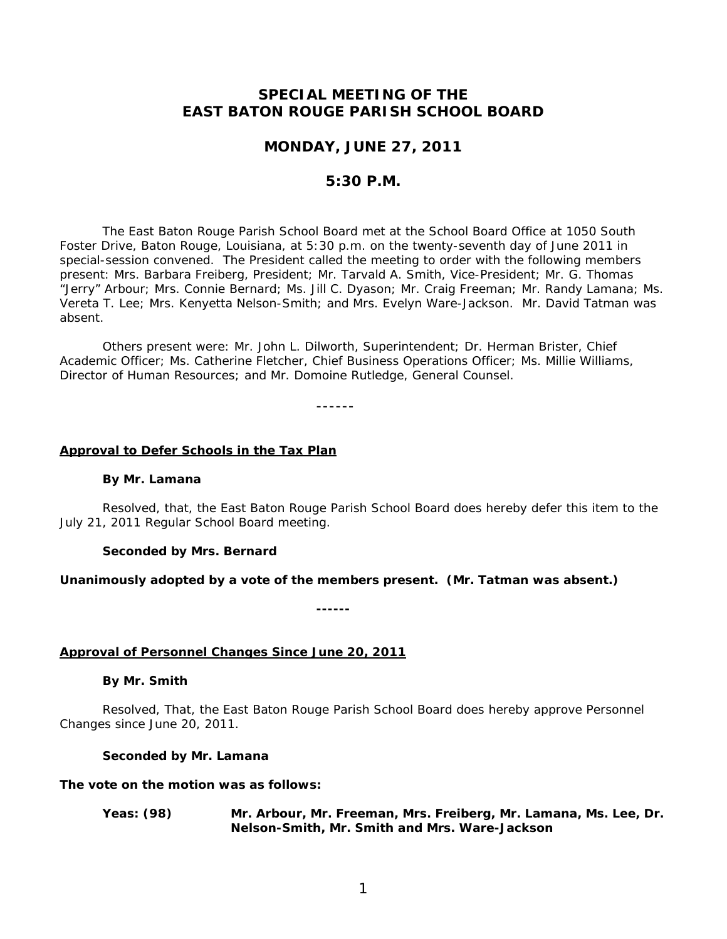# **SPECIAL MEETING OF THE EAST BATON ROUGE PARISH SCHOOL BOARD**

## **MONDAY, JUNE 27, 2011**

## **5:30 P.M.**

The East Baton Rouge Parish School Board met at the School Board Office at 1050 South Foster Drive, Baton Rouge, Louisiana, at 5:30 p.m. on the twenty-seventh day of June 2011 in special-session convened. The President called the meeting to order with the following members present: Mrs. Barbara Freiberg, President; Mr. Tarvald A. Smith, Vice-President; Mr. G. Thomas "Jerry" Arbour; Mrs. Connie Bernard; Ms. Jill C. Dyason; Mr. Craig Freeman; Mr. Randy Lamana; Ms. Vereta T. Lee; Mrs. Kenyetta Nelson-Smith; and Mrs. Evelyn Ware-Jackson. Mr. David Tatman was absent.

Others present were: Mr. John L. Dilworth, Superintendent; Dr. Herman Brister, Chief Academic Officer; Ms. Catherine Fletcher, Chief Business Operations Officer; Ms. Millie Williams, Director of Human Resources; and Mr. Domoine Rutledge, General Counsel.

------

### **Approval to Defer Schools in the Tax Plan**

#### **By Mr. Lamana**

 Resolved, that, the East Baton Rouge Parish School Board does hereby defer this item to the July 21, 2011 Regular School Board meeting.

#### **Seconded by Mrs. Bernard**

### **Unanimously adopted by a vote of the members present. (Mr. Tatman was absent.)**

**------** 

### **Approval of Personnel Changes Since June 20, 2011**

### **By Mr. Smith**

Resolved, That, the East Baton Rouge Parish School Board does hereby approve Personnel Changes since June 20, 2011.

### **Seconded by Mr. Lamana**

### **The vote on the motion was as follows:**

**Yeas: (98) Mr. Arbour, Mr. Freeman, Mrs. Freiberg, Mr. Lamana, Ms. Lee, Dr. Nelson-Smith, Mr. Smith and Mrs. Ware-Jackson**